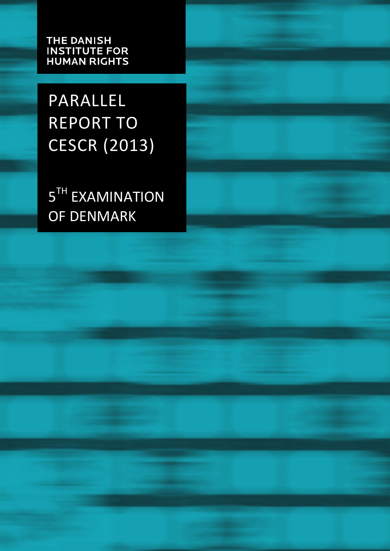**THE DANISH INSTITUTE FOR<br>HUMAN RIGHTS** 

PARALLEL REPORT TO CESCR (2013)

5<sup>TH</sup> EXAMINATION OF DENMARK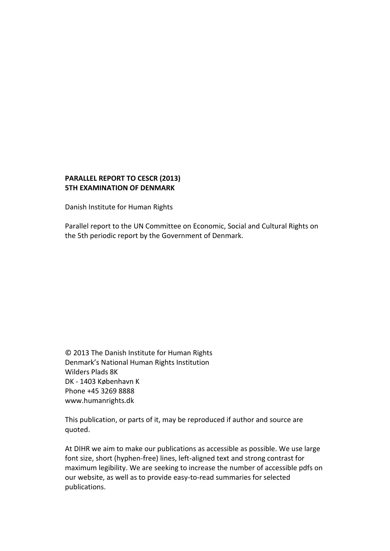#### **PARALLEL REPORT TO CESCR (2013) 5TH EXAMINATION OF DENMARK**

Danish Institute for Human Rights

Parallel report to the UN Committee on Economic, Social and Cultural Rights on the 5th periodic report by the Government of Denmark.

© 2013 The Danish Institute for Human Rights Denmark's National Human Rights Institution Wilders Plads 8K DK - 1403 København K Phone +45 3269 8888 www.humanrights.dk

This publication, or parts of it, may be reproduced if author and source are quoted.

At DIHR we aim to make our publications as accessible as possible. We use large font size, short (hyphen-free) lines, left-aligned text and strong contrast for maximum legibility. We are seeking to increase the number of accessible pdfs on our website, as well as to provide easy-to-read summaries for selected publications.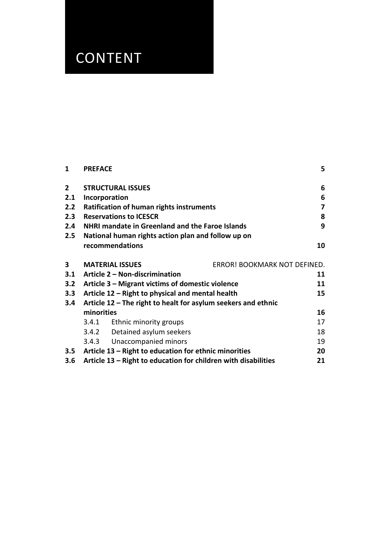# CONTENT

| $\mathbf{1}$            | <b>PREFACE</b>                                                |                                                                |                              | 5                       |
|-------------------------|---------------------------------------------------------------|----------------------------------------------------------------|------------------------------|-------------------------|
| $\mathbf{2}$            |                                                               | <b>STRUCTURAL ISSUES</b>                                       |                              | 6                       |
| 2.1                     |                                                               | Incorporation                                                  |                              | 6                       |
| 2.2                     |                                                               | <b>Ratification of human rights instruments</b>                |                              | $\overline{\mathbf{z}}$ |
| 2.3                     |                                                               | <b>Reservations to ICESCR</b>                                  |                              | 8                       |
| 2.4                     | <b>NHRI mandate in Greenland and the Faroe Islands</b>        |                                                                |                              | 9                       |
| 2.5                     | National human rights action plan and follow up on            |                                                                |                              |                         |
|                         |                                                               | recommendations                                                |                              | 10                      |
| $\overline{\mathbf{3}}$ |                                                               | <b>MATERIAL ISSUES</b>                                         | ERROR! BOOKMARK NOT DEFINED. |                         |
| 3.1                     |                                                               | Article 2 - Non-discrimination                                 |                              | 11                      |
| 3.2                     |                                                               | Article 3 – Migrant victims of domestic violence               |                              | 11                      |
| 3.3                     | Article 12 - Right to physical and mental health              |                                                                |                              | 15                      |
| 3.4                     | Article 12 – The right to healt for asylum seekers and ethnic |                                                                |                              |                         |
|                         | minorities                                                    |                                                                |                              | 16                      |
|                         | 3.4.1                                                         | Ethnic minority groups                                         |                              | 17                      |
|                         |                                                               | 3.4.2 Detained asylum seekers                                  |                              | 18                      |
|                         |                                                               | 3.4.3 Unaccompanied minors                                     |                              | 19                      |
| 3.5                     |                                                               | Article 13 – Right to education for ethnic minorities          |                              | 20                      |
| 3.6                     |                                                               | Article 13 – Right to education for children with disabilities |                              | 21                      |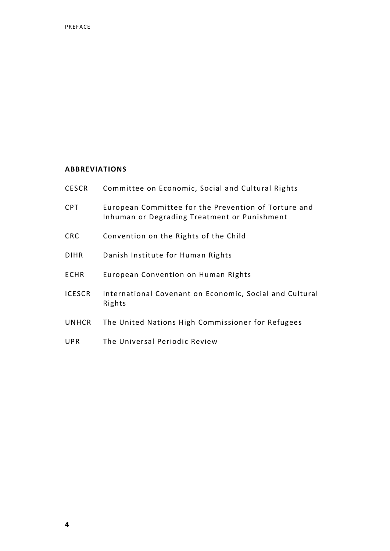#### **ABBREVIATIONS**

| <b>CESCR</b>  | Committee on Economic, Social and Cultural Rights                                                    |
|---------------|------------------------------------------------------------------------------------------------------|
| <b>CPT</b>    | European Committee for the Prevention of Torture and<br>Inhuman or Degrading Treatment or Punishment |
| <b>CRC</b>    | Convention on the Rights of the Child                                                                |
| <b>DIHR</b>   | Danish Institute for Human Rights                                                                    |
| <b>ECHR</b>   | European Convention on Human Rights                                                                  |
| <b>ICESCR</b> | International Covenant on Economic, Social and Cultural<br>Rights                                    |
| <b>UNHCR</b>  | The United Nations High Commissioner for Refugees                                                    |
| <b>UPR</b>    | The Universal Periodic Review                                                                        |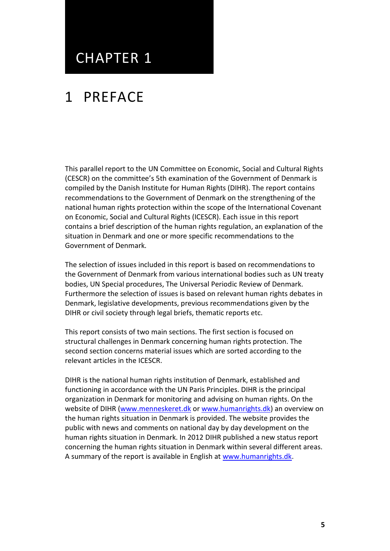### CHAPTER 1

## 1 PREFACE

This parallel report to the UN Committee on Economic, Social and Cultural Rights (CESCR) on the committee's 5th examination of the Government of Denmark is compiled by the Danish Institute for Human Rights (DIHR). The report contains recommendations to the Government of Denmark on the strengthening of the national human rights protection within the scope of the International Covenant on Economic, Social and Cultural Rights (ICESCR). Each issue in this report contains a brief description of the human rights regulation, an explanation of the situation in Denmark and one or more specific recommendations to the Government of Denmark.

The selection of issues included in this report is based on recommendations to the Government of Denmark from various international bodies such as UN treaty bodies, UN Special procedures, The Universal Periodic Review of Denmark. Furthermore the selection of issues is based on relevant human rights debates in Denmark, legislative developments, previous recommendations given by the DIHR or civil society through legal briefs, thematic reports etc.

This report consists of two main sections. The first section is focused on structural challenges in Denmark concerning human rights protection. The second section concerns material issues which are sorted according to the relevant articles in the ICESCR.

DIHR is the national human rights institution of Denmark, established and functioning in accordance with the UN Paris Principles. DIHR is the principal organization in Denmark for monitoring and advising on human rights. On the website of DIHR [\(www.menneskeret.dk](http://www.menneskeret.dk/) o[r www.humanrights.dk\)](http://www.humanrights.dk/) an overview on the human rights situation in Denmark is provided. The website provides the public with news and comments on national day by day development on the human rights situation in Denmark. In 2012 DIHR published a new status report concerning the human rights situation in Denmark within several different areas. A summary of the report is available in English at [www.humanrights.dk.](http://www.humanrights.dk/)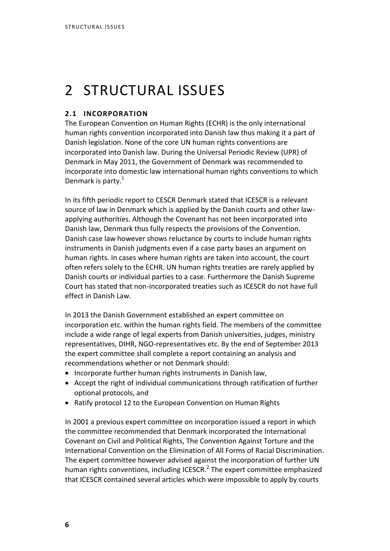# 2 STRUCTURAL ISSUES

#### **2.1 INCORPORATION**

The European Convention on Human Rights (ECHR) is the only international human rights convention incorporated into Danish law thus making it a part of Danish legislation. None of the core UN human rights conventions are incorporated into Danish law. During the Universal Periodic Review (UPR) of Denmark in May 2011, the Government of Denmark was recommended to incorporate into domestic law international human rights conventions to which Denmark is party. $1$ 

In its fifth periodic report to CESCR Denmark stated that ICESCR is a relevant source of law in Denmark which is applied by the Danish courts and other lawapplying authorities. Although the Covenant has not been incorporated into Danish law, Denmark thus fully respects the provisions of the Convention. Danish case law however shows reluctance by courts to include human rights instruments in Danish judgments even if a case party bases an argument on human rights. In cases where human rights are taken into account, the court often refers solely to the ECHR. UN human rights treaties are rarely applied by Danish courts or individual parties to a case. Furthermore the Danish Supreme Court has stated that non-incorporated treaties such as ICESCR do not have full effect in Danish Law.

In 2013 the Danish Government established an expert committee on incorporation etc. within the human rights field. The members of the committee include a wide range of legal experts from Danish universities, judges, ministry representatives, DIHR, NGO-representatives etc. By the end of September 2013 the expert committee shall complete a report containing an analysis and recommendations whether or not Denmark should:

- Incorporate further human rights instruments in Danish law,
- Accept the right of individual communications through ratification of further optional protocols, and
- Ratify protocol 12 to the European Convention on Human Rights

In 2001 a previous expert committee on incorporation issued a report in which the committee recommended that Denmark incorporated the International Covenant on Civil and Political Rights, The Convention Against Torture and the International Convention on the Elimination of All Forms of Racial Discrimination. The expert committee however advised against the incorporation of further UN human rights conventions, including ICESCR.<sup>2</sup> The expert committee emphasized that ICESCR contained several articles which were impossible to apply by courts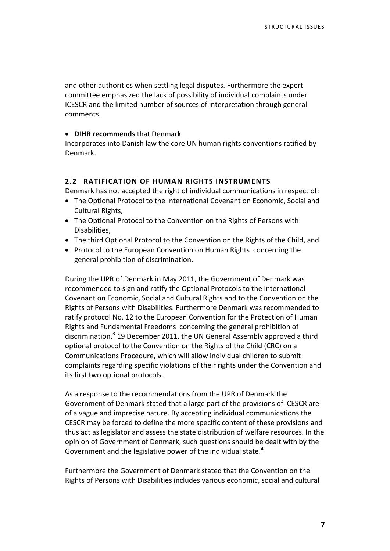and other authorities when settling legal disputes. Furthermore the expert committee emphasized the lack of possibility of individual complaints under ICESCR and the limited number of sources of interpretation through general comments.

#### **DIHR recommends** that Denmark

Incorporates into Danish law the core UN human rights conventions ratified by Denmark.

#### **2.2 RATIFICATION OF HUMAN RIGHTS INSTRUMENTS**

Denmark has not accepted the right of individual communications in respect of:

- The Optional Protocol to the International Covenant on Economic, Social and Cultural Rights,
- The Optional Protocol to the Convention on the Rights of Persons with Disabilities,
- The third Optional Protocol to the Convention on the Rights of the Child, and
- Protocol to the European Convention on Human Rights concerning the general prohibition of discrimination.

During the UPR of Denmark in May 2011, the Government of Denmark was recommended to sign and ratify the Optional Protocols to the International Covenant on Economic, Social and Cultural Rights and to the Convention on the Rights of Persons with Disabilities. Furthermore Denmark was recommended to ratify protocol No. 12 to the European Convention for the Protection of Human Rights and Fundamental Freedoms concerning the general prohibition of discrimination.<sup>3</sup> 19 December 2011, the UN General Assembly approved a third optional protocol to the Convention on the Rights of the Child (CRC) on a Communications Procedure, which will allow individual children to submit complaints regarding specific violations of their rights under the Convention and its first two optional protocols.

As a response to the recommendations from the UPR of Denmark the Government of Denmark stated that a large part of the provisions of ICESCR are of a vague and imprecise nature. By accepting individual communications the CESCR may be forced to define the more specific content of these provisions and thus act as legislator and assess the state distribution of welfare resources. In the opinion of Government of Denmark, such questions should be dealt with by the Government and the legislative power of the individual state. $4$ 

Furthermore the Government of Denmark stated that the Convention on the Rights of Persons with Disabilities includes various economic, social and cultural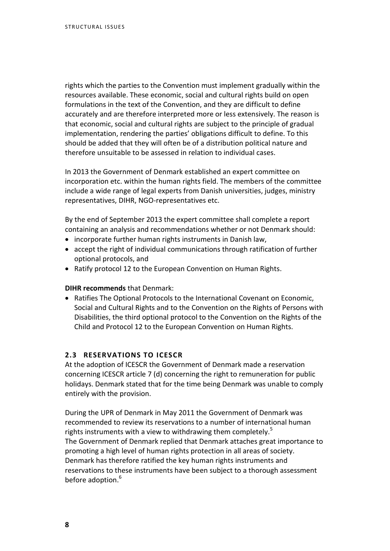rights which the parties to the Convention must implement gradually within the resources available. These economic, social and cultural rights build on open formulations in the text of the Convention, and they are difficult to define accurately and are therefore interpreted more or less extensively. The reason is that economic, social and cultural rights are subject to the principle of gradual implementation, rendering the parties' obligations difficult to define. To this should be added that they will often be of a distribution political nature and therefore unsuitable to be assessed in relation to individual cases.

In 2013 the Government of Denmark established an expert committee on incorporation etc. within the human rights field. The members of the committee include a wide range of legal experts from Danish universities, judges, ministry representatives, DIHR, NGO-representatives etc.

By the end of September 2013 the expert committee shall complete a report containing an analysis and recommendations whether or not Denmark should:

- incorporate further human rights instruments in Danish law,
- accept the right of individual communications through ratification of further optional protocols, and
- Ratify protocol 12 to the European Convention on Human Rights.

#### **DIHR recommends** that Denmark:

• Ratifies The Optional Protocols to the International Covenant on Economic, Social and Cultural Rights and to the Convention on the Rights of Persons with Disabilities, the third optional protocol to the Convention on the Rights of the Child and Protocol 12 to the European Convention on Human Rights.

#### **2.3 RESERVATIONS TO ICESCR**

At the adoption of ICESCR the Government of Denmark made a reservation concerning ICESCR article 7 (d) concerning the right to remuneration for public holidays. Denmark stated that for the time being Denmark was unable to comply entirely with the provision.

During the UPR of Denmark in May 2011 the Government of Denmark was recommended to review its reservations to a number of international human rights instruments with a view to withdrawing them completely.<sup>5</sup> The Government of Denmark replied that Denmark attaches great importance to promoting a high level of human rights protection in all areas of society. Denmark has therefore ratified the key human rights instruments and reservations to these instruments have been subject to a thorough assessment before adoption.<sup>6</sup>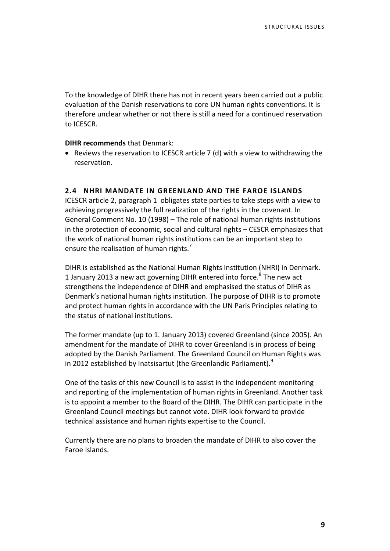To the knowledge of DIHR there has not in recent years been carried out a public evaluation of the Danish reservations to core UN human rights conventions. It is therefore unclear whether or not there is still a need for a continued reservation to ICESCR.

#### **DIHR recommends** that Denmark:

 Reviews the reservation to ICESCR article 7 (d) with a view to withdrawing the reservation.

#### **2.4 NHRI MANDATE IN GREENLAND AND THE FAROE ISLANDS**

ICESCR article 2, paragraph 1 obligates state parties to take steps with a view to achieving progressively the full realization of the rights in the covenant. In General Comment No. 10 (1998) – The role of national human rights institutions in the protection of economic, social and cultural rights – CESCR emphasizes that the work of national human rights institutions can be an important step to ensure the realisation of human rights.<sup>7</sup>

DIHR is established as the National Human Rights Institution (NHRI) in Denmark. 1 January 2013 a new act governing DIHR entered into force.<sup>8</sup> The new act strengthens the independence of DIHR and emphasised the status of DIHR as Denmark's national human rights institution. The purpose of DIHR is to promote and protect human rights in accordance with the UN Paris Principles relating to the status of national institutions.

The former mandate (up to 1. January 2013) covered Greenland (since 2005). An amendment for the mandate of DIHR to cover Greenland is in process of being adopted by the Danish Parliament. The Greenland Council on Human Rights was in 2012 established by Inatsisartut (the Greenlandic Parliament). $9$ 

One of the tasks of this new Council is to assist in the independent monitoring and reporting of the implementation of human rights in Greenland. Another task is to appoint a member to the Board of the DIHR. The DIHR can participate in the Greenland Council meetings but cannot vote. DIHR look forward to provide technical assistance and human rights expertise to the Council.

Currently there are no plans to broaden the mandate of DIHR to also cover the Faroe Islands.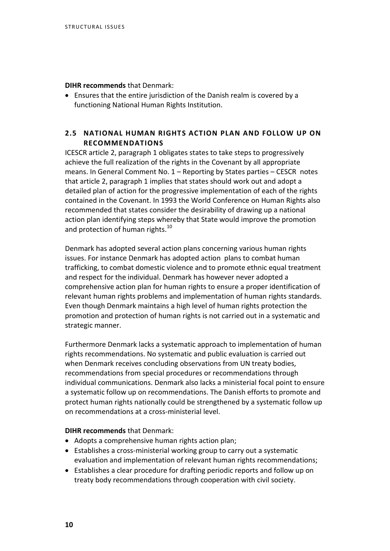**DIHR recommends** that Denmark:

 Ensures that the entire jurisdiction of the Danish realm is covered by a functioning National Human Rights Institution.

#### **2.5 NATIONAL HUMAN RIGHTS ACTION PLAN AND FOLLOW UP ON RECOMMENDATIONS**

ICESCR article 2, paragraph 1 obligates states to take steps to progressively achieve the full realization of the rights in the Covenant by all appropriate means. In General Comment No. 1 – Reporting by States parties – CESCR notes that article 2, paragraph 1 implies that states should work out and adopt a detailed plan of action for the progressive implementation of each of the rights contained in the Covenant. In 1993 the World Conference on Human Rights also recommended that states consider the desirability of drawing up a national action plan identifying steps whereby that State would improve the promotion and protection of human rights.<sup>10</sup>

Denmark has adopted several action plans concerning various human rights issues. For instance Denmark has adopted action plans to combat human trafficking, to combat domestic violence and to promote ethnic equal treatment and respect for the individual. Denmark has however never adopted a comprehensive action plan for human rights to ensure a proper identification of relevant human rights problems and implementation of human rights standards. Even though Denmark maintains a high level of human rights protection the promotion and protection of human rights is not carried out in a systematic and strategic manner.

Furthermore Denmark lacks a systematic approach to implementation of human rights recommendations. No systematic and public evaluation is carried out when Denmark receives concluding observations from UN treaty bodies, recommendations from special procedures or recommendations through individual communications. Denmark also lacks a ministerial focal point to ensure a systematic follow up on recommendations. The Danish efforts to promote and protect human rights nationally could be strengthened by a systematic follow up on recommendations at a cross-ministerial level.

- Adopts a comprehensive human rights action plan;
- Establishes a cross-ministerial working group to carry out a systematic evaluation and implementation of relevant human rights recommendations;
- Establishes a clear procedure for drafting periodic reports and follow up on treaty body recommendations through cooperation with civil society.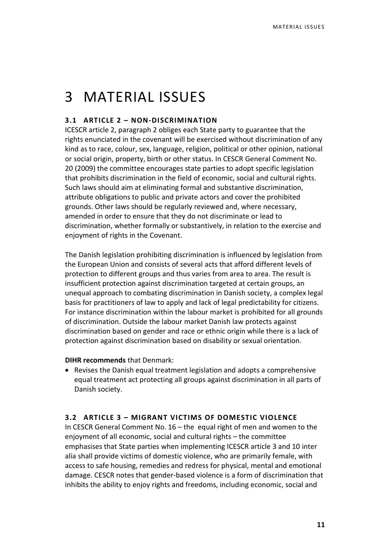## 3 MATERIAL ISSUES

#### **3.1 ARTICLE 2 – NON-DISCRIMINATION**

ICESCR article 2, paragraph 2 obliges each State party to guarantee that the rights enunciated in the covenant will be exercised without discrimination of any kind as to race, colour, sex, language, religion, political or other opinion, national or social origin, property, birth or other status. In CESCR General Comment No. 20 (2009) the committee encourages state parties to adopt specific legislation that prohibits discrimination in the field of economic, social and cultural rights. Such laws should aim at eliminating formal and substantive discrimination, attribute obligations to public and private actors and cover the prohibited grounds. Other laws should be regularly reviewed and, where necessary, amended in order to ensure that they do not discriminate or lead to discrimination, whether formally or substantively, in relation to the exercise and enjoyment of rights in the Covenant.

The Danish legislation prohibiting discrimination is influenced by legislation from the European Union and consists of several acts that afford different levels of protection to different groups and thus varies from area to area. The result is insufficient protection against discrimination targeted at certain groups, an unequal approach to combating discrimination in Danish society, a complex legal basis for practitioners of law to apply and lack of legal predictability for citizens. For instance discrimination within the labour market is prohibited for all grounds of discrimination. Outside the labour market Danish law protects against discrimination based on gender and race or ethnic origin while there is a lack of protection against discrimination based on disability or sexual orientation.

**DIHR recommends** that Denmark:

 Revises the Danish equal treatment legislation and adopts a comprehensive equal treatment act protecting all groups against discrimination in all parts of Danish society.

#### **3.2 ARTICLE 3 – MIGRANT VICTIMS OF DOMESTIC VIOLENCE**

In CESCR General Comment No. 16 – the equal right of men and women to the enjoyment of all economic, social and cultural rights – the committee emphasises that State parties when implementing ICESCR article 3 and 10 inter alia shall provide victims of domestic violence, who are primarily female, with access to safe housing, remedies and redress for physical, mental and emotional damage. CESCR notes that gender-based violence is a form of discrimination that inhibits the ability to enjoy rights and freedoms, including economic, social and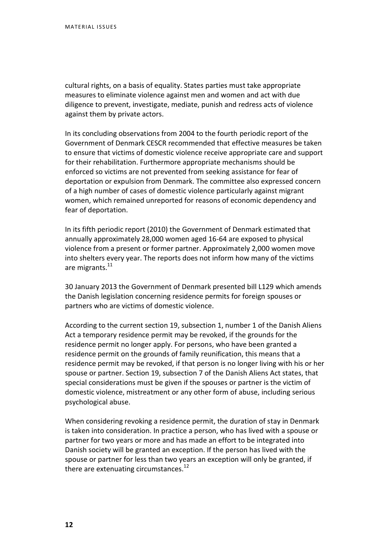cultural rights, on a basis of equality. States parties must take appropriate measures to eliminate violence against men and women and act with due diligence to prevent, investigate, mediate, punish and redress acts of violence against them by private actors.

In its concluding observations from 2004 to the fourth periodic report of the Government of Denmark CESCR recommended that effective measures be taken to ensure that victims of domestic violence receive appropriate care and support for their rehabilitation. Furthermore appropriate mechanisms should be enforced so victims are not prevented from seeking assistance for fear of deportation or expulsion from Denmark. The committee also expressed concern of a high number of cases of domestic violence particularly against migrant women, which remained unreported for reasons of economic dependency and fear of deportation.

In its fifth periodic report (2010) the Government of Denmark estimated that annually approximately 28,000 women aged 16-64 are exposed to physical violence from a present or former partner. Approximately 2,000 women move into shelters every year. The reports does not inform how many of the victims are migrants.<sup>11</sup>

30 January 2013 the Government of Denmark presented bill L129 which amends the Danish legislation concerning residence permits for foreign spouses or partners who are victims of domestic violence.

According to the current section 19, subsection 1, number 1 of the Danish Aliens Act a temporary residence permit may be revoked, if the grounds for the residence permit no longer apply. For persons, who have been granted a residence permit on the grounds of family reunification, this means that a residence permit may be revoked, if that person is no longer living with his or her spouse or partner. Section 19, subsection 7 of the Danish Aliens Act states, that special considerations must be given if the spouses or partner is the victim of domestic violence, mistreatment or any other form of abuse, including serious psychological abuse.

When considering revoking a residence permit, the duration of stay in Denmark is taken into consideration. In practice a person, who has lived with a spouse or partner for two years or more and has made an effort to be integrated into Danish society will be granted an exception. If the person has lived with the spouse or partner for less than two years an exception will only be granted, if there are extenuating circumstances. $12$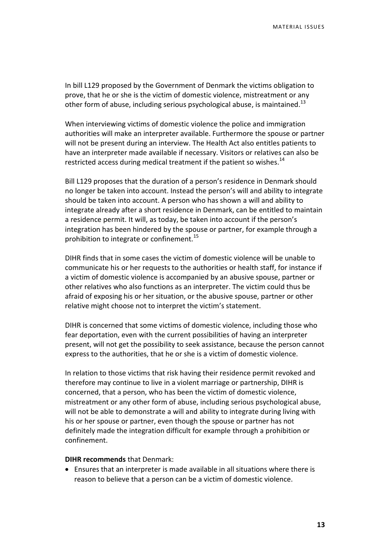In bill L129 proposed by the Government of Denmark the victims obligation to prove, that he or she is the victim of domestic violence, mistreatment or any other form of abuse, including serious psychological abuse, is maintained.<sup>13</sup>

When interviewing victims of domestic violence the police and immigration authorities will make an interpreter available. Furthermore the spouse or partner will not be present during an interview. The Health Act also entitles patients to have an interpreter made available if necessary. Visitors or relatives can also be restricted access during medical treatment if the patient so wishes.<sup>14</sup>

Bill L129 proposes that the duration of a person's residence in Denmark should no longer be taken into account. Instead the person's will and ability to integrate should be taken into account. A person who has shown a will and ability to integrate already after a short residence in Denmark, can be entitled to maintain a residence permit. It will, as today, be taken into account if the person's integration has been hindered by the spouse or partner, for example through a prohibition to integrate or confinement.<sup>15</sup>

DIHR finds that in some cases the victim of domestic violence will be unable to communicate his or her requests to the authorities or health staff, for instance if a victim of domestic violence is accompanied by an abusive spouse, partner or other relatives who also functions as an interpreter. The victim could thus be afraid of exposing his or her situation, or the abusive spouse, partner or other relative might choose not to interpret the victim's statement.

DIHR is concerned that some victims of domestic violence, including those who fear deportation, even with the current possibilities of having an interpreter present, will not get the possibility to seek assistance, because the person cannot express to the authorities, that he or she is a victim of domestic violence.

In relation to those victims that risk having their residence permit revoked and therefore may continue to live in a violent marriage or partnership, DIHR is concerned, that a person, who has been the victim of domestic violence, mistreatment or any other form of abuse, including serious psychological abuse, will not be able to demonstrate a will and ability to integrate during living with his or her spouse or partner, even though the spouse or partner has not definitely made the integration difficult for example through a prohibition or confinement.

#### **DIHR recommends** that Denmark:

 Ensures that an interpreter is made available in all situations where there is reason to believe that a person can be a victim of domestic violence.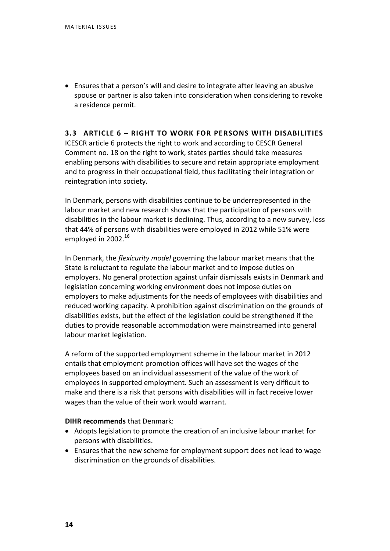Ensures that a person's will and desire to integrate after leaving an abusive spouse or partner is also taken into consideration when considering to revoke a residence permit.

#### **3.3 ARTICLE 6 – RIGHT TO WORK FOR PERSONS WITH DISABILITIES**

ICESCR article 6 protects the right to work and according to CESCR General Comment no. 18 on the right to work, states parties should take measures enabling persons with disabilities to secure and retain appropriate employment and to progress in their occupational field, thus facilitating their integration or reintegration into society.

In Denmark, persons with disabilities continue to be underrepresented in the labour market and new research shows that the participation of persons with disabilities in the labour market is declining. Thus, according to a new survey, less that 44% of persons with disabilities were employed in 2012 while 51% were employed in 2002.<sup>16</sup>

In Denmark, the *flexicurity model* governing the labour market means that the State is reluctant to regulate the labour market and to impose duties on employers. No general protection against unfair dismissals exists in Denmark and legislation concerning working environment does not impose duties on employers to make adjustments for the needs of employees with disabilities and reduced working capacity. A prohibition against discrimination on the grounds of disabilities exists, but the effect of the legislation could be strengthened if the duties to provide reasonable accommodation were mainstreamed into general labour market legislation.

A reform of the supported employment scheme in the labour market in 2012 entails that employment promotion offices will have set the wages of the employees based on an individual assessment of the value of the work of employees in supported employment. Such an assessment is very difficult to make and there is a risk that persons with disabilities will in fact receive lower wages than the value of their work would warrant.

- Adopts legislation to promote the creation of an inclusive labour market for persons with disabilities.
- Ensures that the new scheme for employment support does not lead to wage discrimination on the grounds of disabilities.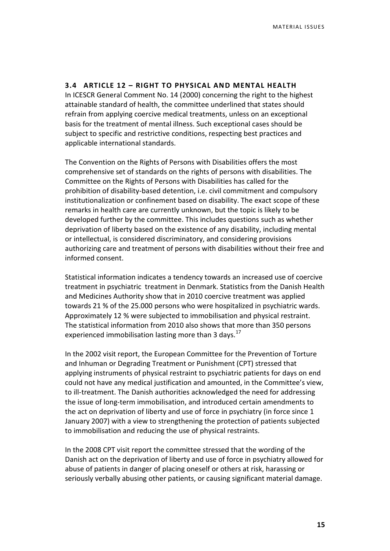#### **3.4 ARTICLE 12 – RIGHT TO PHYSICAL AND MENTAL HEALTH**

In ICESCR General Comment No. 14 (2000) concerning the right to the highest attainable standard of health, the committee underlined that states should refrain from applying coercive medical treatments, unless on an exceptional basis for the treatment of mental illness. Such exceptional cases should be subject to specific and restrictive conditions, respecting best practices and applicable international standards.

The Convention on the Rights of Persons with Disabilities offers the most comprehensive set of standards on the rights of persons with disabilities. The Committee on the Rights of Persons with Disabilities has called for the prohibition of disability-based detention, i.e. civil commitment and compulsory institutionalization or confinement based on disability. The exact scope of these remarks in health care are currently unknown, but the topic is likely to be developed further by the committee. This includes questions such as whether deprivation of liberty based on the existence of any disability, including mental or intellectual, is considered discriminatory, and considering provisions authorizing care and treatment of persons with disabilities without their free and informed consent.

Statistical information indicates a tendency towards an increased use of coercive treatment in psychiatric treatment in Denmark. Statistics from the Danish Health and Medicines Authority show that in 2010 coercive treatment was applied towards 21 % of the 25.000 persons who were hospitalized in psychiatric wards. Approximately 12 % were subjected to immobilisation and physical restraint. The statistical information from 2010 also shows that more than 350 persons experienced immobilisation lasting more than 3 days.<sup>17</sup>

In the 2002 visit report, the European Committee for the Prevention of Torture and Inhuman or Degrading Treatment or Punishment (CPT) stressed that applying instruments of physical restraint to psychiatric patients for days on end could not have any medical justification and amounted, in the Committee's view, to ill-treatment. The Danish authorities acknowledged the need for addressing the issue of long-term immobilisation, and introduced certain amendments to the act on deprivation of liberty and use of force in psychiatry (in force since 1 January 2007) with a view to strengthening the protection of patients subjected to immobilisation and reducing the use of physical restraints.

In the 2008 CPT visit report the committee stressed that the wording of the Danish act on the deprivation of liberty and use of force in psychiatry allowed for abuse of patients in danger of placing oneself or others at risk, harassing or seriously verbally abusing other patients, or causing significant material damage.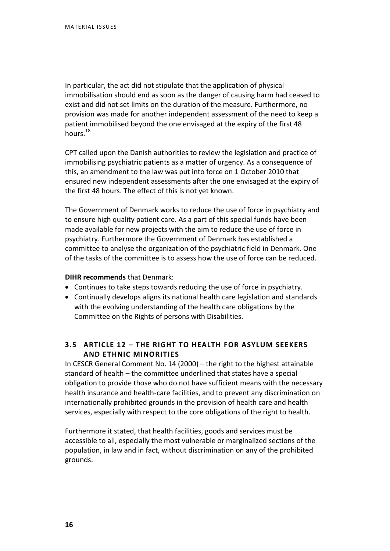In particular, the act did not stipulate that the application of physical immobilisation should end as soon as the danger of causing harm had ceased to exist and did not set limits on the duration of the measure. Furthermore, no provision was made for another independent assessment of the need to keep a patient immobilised beyond the one envisaged at the expiry of the first 48 hours.<sup>18</sup>

CPT called upon the Danish authorities to review the legislation and practice of immobilising psychiatric patients as a matter of urgency. As a consequence of this, an amendment to the law was put into force on 1 October 2010 that ensured new independent assessments after the one envisaged at the expiry of the first 48 hours. The effect of this is not yet known.

The Government of Denmark works to reduce the use of force in psychiatry and to ensure high quality patient care. As a part of this special funds have been made available for new projects with the aim to reduce the use of force in psychiatry. Furthermore the Government of Denmark has established a committee to analyse the organization of the psychiatric field in Denmark. One of the tasks of the committee is to assess how the use of force can be reduced.

#### **DIHR recommends** that Denmark:

- Continues to take steps towards reducing the use of force in psychiatry.
- Continually develops aligns its national health care legislation and standards with the evolving understanding of the health care obligations by the Committee on the Rights of persons with Disabilities.

#### **3.5 ARTICLE 12 – THE RIGHT TO HEALTH FOR ASYLUM SEEKERS AND ETHNIC MINORITIES**

In CESCR General Comment No. 14 (2000) – the right to the highest attainable standard of health – the committee underlined that states have a special obligation to provide those who do not have sufficient means with the necessary health insurance and health-care facilities, and to prevent any discrimination on internationally prohibited grounds in the provision of health care and health services, especially with respect to the core obligations of the right to health.

Furthermore it stated, that health facilities, goods and services must be accessible to all, especially the most vulnerable or marginalized sections of the population, in law and in fact, without discrimination on any of the prohibited grounds.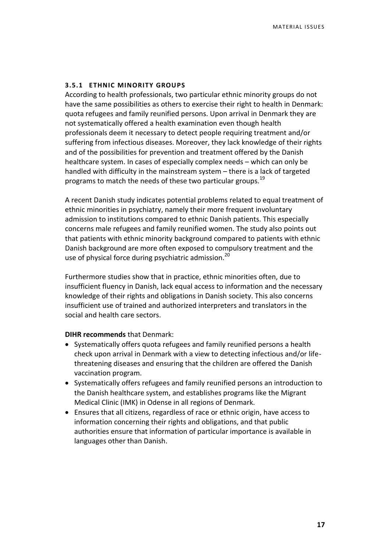#### **3.5.1 ETHNIC MINORITY GROUPS**

According to health professionals, two particular ethnic minority groups do not have the same possibilities as others to exercise their right to health in Denmark: quota refugees and family reunified persons. Upon arrival in Denmark they are not systematically offered a health examination even though health professionals deem it necessary to detect people requiring treatment and/or suffering from infectious diseases. Moreover, they lack knowledge of their rights and of the possibilities for prevention and treatment offered by the Danish healthcare system. In cases of especially complex needs – which can only be handled with difficulty in the mainstream system – there is a lack of targeted programs to match the needs of these two particular groups.<sup>19</sup>

A recent Danish study indicates potential problems related to equal treatment of ethnic minorities in psychiatry, namely their more frequent involuntary admission to institutions compared to ethnic Danish patients. This especially concerns male refugees and family reunified women. The study also points out that patients with ethnic minority background compared to patients with ethnic Danish background are more often exposed to compulsory treatment and the use of physical force during psychiatric admission.<sup>20</sup>

Furthermore studies show that in practice, ethnic minorities often, due to insufficient fluency in Danish, lack equal access to information and the necessary knowledge of their rights and obligations in Danish society. This also concerns insufficient use of trained and authorized interpreters and translators in the social and health care sectors.

- Systematically offers quota refugees and family reunified persons a health check upon arrival in Denmark with a view to detecting infectious and/or lifethreatening diseases and ensuring that the children are offered the Danish vaccination program.
- Systematically offers refugees and family reunified persons an introduction to the Danish healthcare system, and establishes programs like the Migrant Medical Clinic (IMK) in Odense in all regions of Denmark.
- Ensures that all citizens, regardless of race or ethnic origin, have access to information concerning their rights and obligations, and that public authorities ensure that information of particular importance is available in languages other than Danish.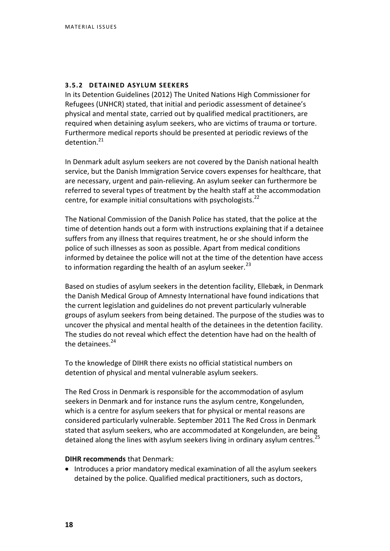#### **3.5.2 DETAINED ASYLUM SEEKERS**

In its Detention Guidelines (2012) The United Nations High Commissioner for Refugees (UNHCR) stated, that initial and periodic assessment of detainee's physical and mental state, carried out by qualified medical practitioners, are required when detaining asylum seekers, who are victims of trauma or torture. Furthermore medical reports should be presented at periodic reviews of the  $d$ etention. $21$ 

In Denmark adult asylum seekers are not covered by the Danish national health service, but the Danish Immigration Service covers expenses for healthcare, that are necessary, urgent and pain-relieving. An asylum seeker can furthermore be referred to several types of treatment by the health staff at the accommodation centre, for example initial consultations with psychologists.<sup>22</sup>

The National Commission of the Danish Police has stated, that the police at the time of detention hands out a form with instructions explaining that if a detainee suffers from any illness that requires treatment, he or she should inform the police of such illnesses as soon as possible. Apart from medical conditions informed by detainee the police will not at the time of the detention have access to information regarding the health of an asylum seeker. $^{23}$ 

Based on studies of asylum seekers in the detention facility, Ellebæk, in Denmark the Danish Medical Group of Amnesty International have found indications that the current legislation and guidelines do not prevent particularly vulnerable groups of asylum seekers from being detained. The purpose of the studies was to uncover the physical and mental health of the detainees in the detention facility. The studies do not reveal which effect the detention have had on the health of the detainees.<sup>24</sup>

To the knowledge of DIHR there exists no official statistical numbers on detention of physical and mental vulnerable asylum seekers.

The Red Cross in Denmark is responsible for the accommodation of asylum seekers in Denmark and for instance runs the asylum centre, Kongelunden, which is a centre for asylum seekers that for physical or mental reasons are considered particularly vulnerable. September 2011 The Red Cross in Denmark stated that asylum seekers, who are accommodated at Kongelunden, are being detained along the lines with asylum seekers living in ordinary asylum centres.<sup>25</sup>

#### **DIHR recommends** that Denmark:

• Introduces a prior mandatory medical examination of all the asylum seekers detained by the police. Qualified medical practitioners, such as doctors,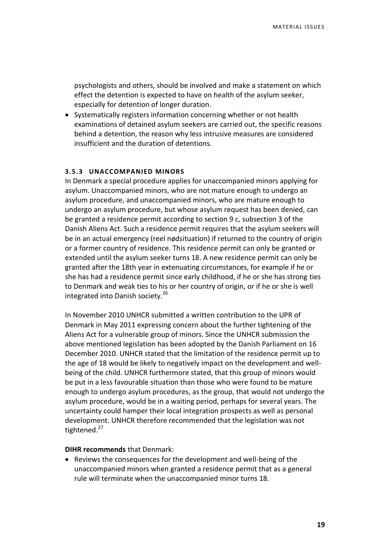psychologists and others, should be involved and make a statement on which effect the detention is expected to have on health of the asylum seeker, especially for detention of longer duration.

• Systematically registers information concerning whether or not health examinations of detained asylum seekers are carried out, the specific reasons behind a detention, the reason why less intrusive measures are considered insufficient and the duration of detentions.

#### **3.5.3 UNACCOMPANIED MINORS**

In Denmark a special procedure applies for unaccompanied minors applying for asylum. Unaccompanied minors, who are not mature enough to undergo an asylum procedure, and unaccompanied minors, who are mature enough to undergo an asylum procedure, but whose asylum request has been denied, can be granted a residence permit according to section 9 c, subsection 3 of the Danish Aliens Act. Such a residence permit requires that the asylum seekers will be in an actual emergency (reel nødsituation) if returned to the country of origin or a former country of residence. This residence permit can only be granted or extended until the asylum seeker turns 18. A new residence permit can only be granted after the 18th year in extenuating circumstances, for example if he or she has had a residence permit since early childhood, if he or she has strong ties to Denmark and weak ties to his or her country of origin, or if he or she is well integrated into Danish society.<sup>26</sup>

In November 2010 UNHCR submitted a written contribution to the UPR of Denmark in May 2011 expressing concern about the further tightening of the Aliens Act for a vulnerable group of minors. Since the UNHCR submission the above mentioned legislation has been adopted by the Danish Parliament on 16 December 2010. UNHCR stated that the limitation of the residence permit up to the age of 18 would be likely to negatively impact on the development and wellbeing of the child. UNHCR furthermore stated, that this group of minors would be put in a less favourable situation than those who were found to be mature enough to undergo asylum procedures, as the group, that would not undergo the asylum procedure, would be in a waiting period, perhaps for several years. The uncertainty could hamper their local integration prospects as well as personal development. UNHCR therefore recommended that the legislation was not tightened.<sup>27</sup>

#### **DIHR recommends** that Denmark:

 Reviews the consequences for the development and well-being of the unaccompanied minors when granted a residence permit that as a general rule will terminate when the unaccompanied minor turns 18.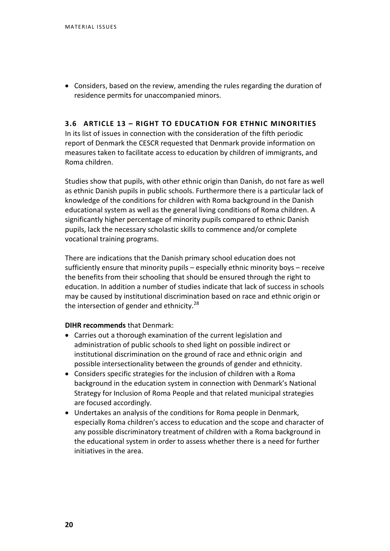Considers, based on the review, amending the rules regarding the duration of residence permits for unaccompanied minors.

#### **3.6 ARTICLE 13 – RIGHT TO EDUCATION FOR ETHNIC MINORITIES**

In its list of issues in connection with the consideration of the fifth periodic report of Denmark the CESCR requested that Denmark provide information on measures taken to facilitate access to education by children of immigrants, and Roma children.

Studies show that pupils, with other ethnic origin than Danish, do not fare as well as ethnic Danish pupils in public schools. Furthermore there is a particular lack of knowledge of the conditions for children with Roma background in the Danish educational system as well as the general living conditions of Roma children. A significantly higher percentage of minority pupils compared to ethnic Danish pupils, lack the necessary scholastic skills to commence and/or complete vocational training programs.

There are indications that the Danish primary school education does not sufficiently ensure that minority pupils – especially ethnic minority boys – receive the benefits from their schooling that should be ensured through the right to education. In addition a number of studies indicate that lack of success in schools may be caused by institutional discrimination based on race and ethnic origin or the intersection of gender and ethnicity.<sup>28</sup>

- Carries out a thorough examination of the current legislation and administration of public schools to shed light on possible indirect or institutional discrimination on the ground of race and ethnic origin and possible intersectionality between the grounds of gender and ethnicity.
- Considers specific strategies for the inclusion of children with a Roma background in the education system in connection with Denmark's National Strategy for Inclusion of Roma People and that related municipal strategies are focused accordingly.
- Undertakes an analysis of the conditions for Roma people in Denmark, especially Roma children's access to education and the scope and character of any possible discriminatory treatment of children with a Roma background in the educational system in order to assess whether there is a need for further initiatives in the area.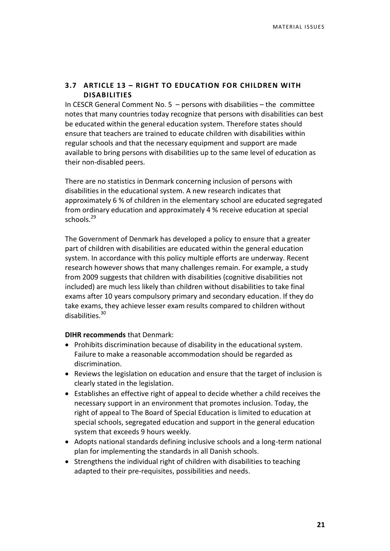#### **3.7 ARTICLE 13 – RIGHT TO EDUCATION FOR CHILDREN WITH DISABILITIES**

In CESCR General Comment No.  $5$  – persons with disabilities – the committee notes that many countries today recognize that persons with disabilities can best be educated within the general education system. Therefore states should ensure that teachers are trained to educate children with disabilities within regular schools and that the necessary equipment and support are made available to bring persons with disabilities up to the same level of education as their non-disabled peers.

There are no statistics in Denmark concerning inclusion of persons with disabilities in the educational system. A new research indicates that approximately 6 % of children in the elementary school are educated segregated from ordinary education and approximately 4 % receive education at special schools. $^{29}$ 

The Government of Denmark has developed a policy to ensure that a greater part of children with disabilities are educated within the general education system. In accordance with this policy multiple efforts are underway. Recent research however shows that many challenges remain. For example, a study from 2009 suggests that children with disabilities (cognitive disabilities not included) are much less likely than children without disabilities to take final exams after 10 years compulsory primary and secondary education. If they do take exams, they achieve lesser exam results compared to children without disabilities.<sup>30</sup>

- Prohibits discrimination because of disability in the educational system. Failure to make a reasonable accommodation should be regarded as discrimination.
- Reviews the legislation on education and ensure that the target of inclusion is clearly stated in the legislation.
- Establishes an effective right of appeal to decide whether a child receives the necessary support in an environment that promotes inclusion. Today, the right of appeal to The Board of Special Education is limited to education at special schools, segregated education and support in the general education system that exceeds 9 hours weekly.
- Adopts national standards defining inclusive schools and a long-term national plan for implementing the standards in all Danish schools.
- Strengthens the individual right of children with disabilities to teaching adapted to their pre-requisites, possibilities and needs.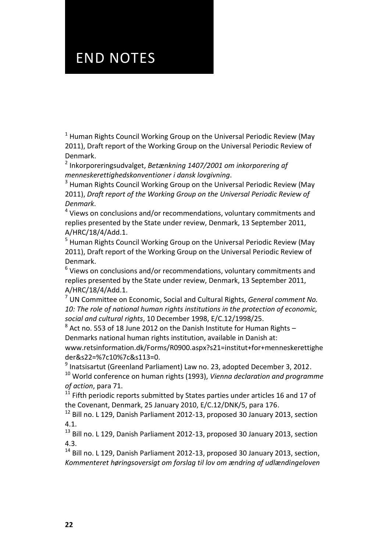# END NOTES

 $1$  Human Rights Council Working Group on the Universal Periodic Review (May 2011), Draft report of the Working Group on the Universal Periodic Review of Denmark.

2 Inkorporeringsudvalget, *Betænkning 1407/2001 om inkorporering af menneskerettighedskonventioner i dansk lovgivning*.

 $3$  Human Rights Council Working Group on the Universal Periodic Review (May 2011), *Draft report of the Working Group on the Universal Periodic Review of Denmark*.

<sup>4</sup> Views on conclusions and/or recommendations, voluntary commitments and replies presented by the State under review, Denmark, 13 September 2011, A/HRC/18/4/Add.1.

<sup>5</sup> Human Rights Council Working Group on the Universal Periodic Review (May 2011), Draft report of the Working Group on the Universal Periodic Review of Denmark.

 $<sup>6</sup>$  Views on conclusions and/or recommendations, voluntary commitments and</sup> replies presented by the State under review, Denmark, 13 September 2011, A/HRC/18/4/Add.1.

<sup>7</sup> UN Committee on Economic, Social and Cultural Rights, *General comment No. 10: The role of national human rights institutions in the protection of economic, social and cultural rights*, 10 December 1998, E/C.12/1998/25.

 $^8$  Act no. 553 of 18 June 2012 on the Danish Institute for Human Rights – Denmarks national human rights institution, available in Danish at: www.retsinformation.dk/Forms/R0900.aspx?s21=institut+for+menneskerettighe

der&s22=%7c10%7c&s113=0.

 $^9$  Inatsisartut (Greenland Parliament) Law no. 23, adopted December 3, 2012.

<sup>10</sup> World conference on human rights (1993), *Vienna declaration and programme of action*, para 71.

 $11$  Fifth periodic reports submitted by States parties under articles 16 and 17 of the Covenant, Denmark, 25 January 2010, E/C.12/DNK/5, para 176.

<sup>12</sup> Bill no. L 129, Danish Parliament 2012-13, proposed 30 January 2013, section 4.1.

<sup>13</sup> Bill no. L 129. Danish Parliament 2012-13, proposed 30 January 2013, section 4.3.

<sup>14</sup> Bill no. L 129, Danish Parliament 2012-13, proposed 30 January 2013, section, *Kommenteret høringsoversigt om forslag til lov om ændring af udlændingeloven*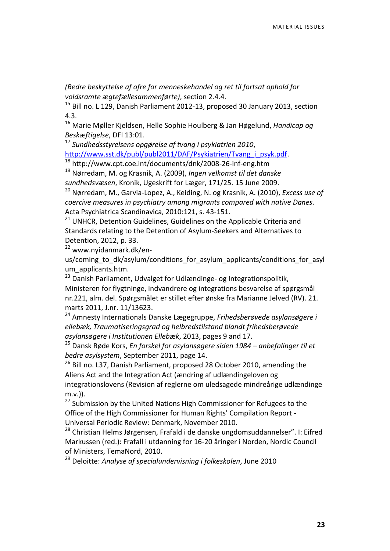*(Bedre beskyttelse af ofre for menneskehandel og ret til fortsat ophold for voldsramte ægtefællesammenførte)*, section 2.4.4.

<sup>15</sup> Bill no. L 129, Danish Parliament 2012-13, proposed 30 January 2013, section 4.3.

<sup>16</sup> Marie Møller Kjeldsen, Helle Sophie Houlberg & Jan Høgelund, *Handicap og Beskæftigelse*, DFI 13:01.

<sup>17</sup> *Sundhedsstyrelsens opgørelse af tvang i psykiatrien 2010*, http://www.sst.dk/publ/publ2011/DAF/Psykiatrien/Tyang\_i\_psyk.pdf.

<sup>18</sup> http://www.cpt.coe.int/documents/dnk/2008-26-inf-eng.htm

<sup>19</sup> Nørredam, M. og Krasnik, A. (2009), *Ingen velkomst til det danske sundhedsvæsen*, Kronik, Ugeskrift for Læger, 171/25. 15 June 2009.

<sup>20</sup> Nørredam, M., Garvia-Lopez, A., Keiding, N. og Krasnik, A. (2010), *Excess use of coercive measures in psychiatry among migrants compared with native Danes*. Acta Psychiatrica Scandinavica, 2010:121, s. 43-151.

<sup>21</sup> UNHCR, Detention Guidelines, Guidelines on the Applicable Criteria and Standards relating to the Detention of Asylum-Seekers and Alternatives to Detention, 2012, p. 33.

<sup>22</sup> www.nyidanmark.dk/en-

us/coming\_to\_dk/asylum/conditions\_for\_asylum\_applicants/conditions\_for\_asyl um\_applicants.htm.

<sup>23</sup> Danish Parliament, Udvalget for Udlændinge- og Integrationspolitik, Ministeren for flygtninge, indvandrere og integrations besvarelse af spørgsmål nr.221, alm. del. Spørgsmålet er stillet efter ønske fra Marianne Jelved (RV). 21. marts 2011, J.nr. 11/13623.

<sup>24</sup> Amnesty Internationals Danske Lægegruppe, *Frihedsberøvede asylansøgere i ellebæk, Traumatiseringsgrad og helbredstilstand blandt frihedsberøvede asylansøgere i Institutionen Ellebæk*, 2013, pages 9 and 17.

<sup>25</sup> Dansk Røde Kors, *En forskel for asylansøgere siden 1984 – anbefalinger til et bedre asylsystem*, September 2011, page 14.

<sup>26</sup> Bill no. L37, Danish Parliament, proposed 28 October 2010, amending the Aliens Act and the Integration Act (ændring af udlændingeloven og integrationslovens (Revision af reglerne om uledsagede mindreårige udlændinge m.v.)).

 $27$  Submission by the United Nations High Commissioner for Refugees to the Office of the High Commissioner for Human Rights' Compilation Report - Universal Periodic Review: Denmark, November 2010.

<sup>28</sup> Christian Helms Jørgensen, Frafald i de danske ungdomsuddannelser". I: Eifred Markussen (red.): Frafall i utdanning for 16-20 åringer i Norden, Nordic Council of Ministers, TemaNord, 2010.

<sup>29</sup> Deloitte: *Analyse af specialundervisning i folkeskolen*, June 2010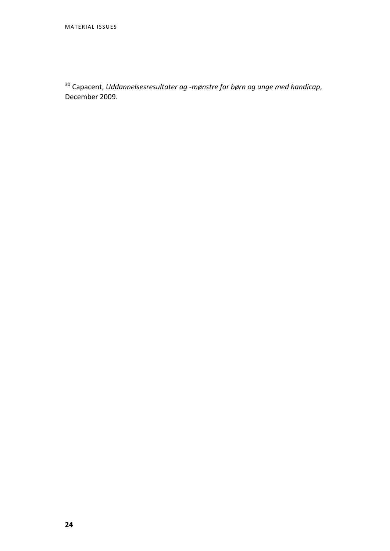<sup>30</sup> Capacent, *Uddannelsesresultater og -mønstre for børn og unge med handicap*, December 2009.